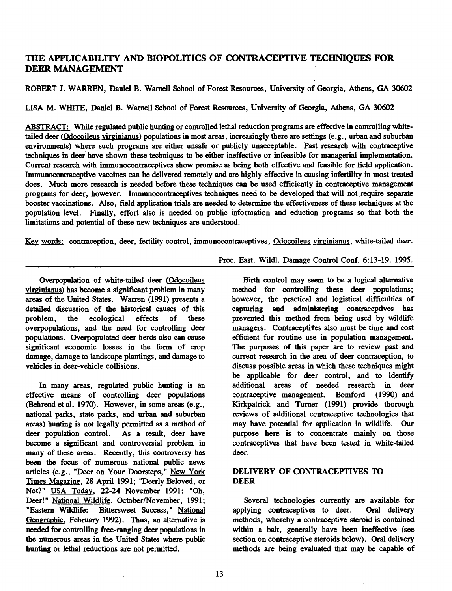# THE APPLICABILITY AND BIOPOLfflCS OF CONTRACEPTIVE TECHNIQUES FOR DEER MANAGEMENT

ROBERT J. WARREN, Daniel B. Warnell School of Forest Resources, University of Georgia, Athens, GA 30602

LISA M. WHITE, Daniel B. Warnell School of Forest Resources, University of Georgia, Athens, GA 30602

ABSTRACT: While regulated public hunting or controlled lethal reduction programs are effective in controlling whitetailed deer (Odocoileus virginianus) populations in most areas, increasingly there are settings (e.g., urban and suburban environments) where such programs are either unsafe or publicly unacceptable. Past research with contraceptive techniques in deer have shown these techniques to be either ineffective or infeasible for managerial implementation. Current research with immunocontraceptives show promise as being both effective and feasible for field application. Immunocontraceptive vaccines can be delivered remotely and are highly effective in causing infertility in most treated does. Much more research is needed before these techniques can be used efficiently in contraceptive management programs for deer, however. Immunocontraceptives techniques need to be developed that will not require separate booster vaccinations. Also, field application trials are needed to determine the effectiveness of these techniques at the population level. Finally, effort also is needed on public information and eduction programs so that both the limitations and potential of these new techniques are understood.

Key words: contraception, deer, fertility control, immunocontraceptives, Odocoileus virginianus, white-tailed deer.

Overpopulation of white-tailed deer (Odocoileus virginianus) has become a significant problem in many areas of the United States. Warren (1991) presents a detailed discussion of the historical causes of this problem, the ecological effects of these overpopulations, and the need for controlling deer populations. Overpopulated deer herds also can cause significant economic losses in the form of crop damage, damage to landscape plantings, and damage to vehicles in deer-vehicle collisions.

In many areas, regulated public hunting is an effective means of controlling deer populations (Behrend et al. 1970). However, in some areas (e.g., national parks, state parks, and urban and suburban areas) hunting is not legally permitted as a method of deer population control. As a result, deer have become a significant and controversial problem in many of these areas. Recently, this controversy has been the focus of numerous national public news articles (e.g., "Deer on Your Doorsteps," New York Times Magazine, 28 April 1991; "Deerly Beloved, or Not?" USA Today, 22-24 November 1991; "Oh, Deer!" National Wildlife, October/November, 1991; "Eastern Wildlife: Bittersweet Success," National Geographic, February 1992). Thus, an alternative is needed for controlling free-ranging deer populations in the numerous areas in the United States where public hunting or lethal reductions are not permitted.

Proc. East. Wildl. Damage Control Conf. 6:13-19. 1995.

Birth control may seem to be a logical alternative method for controlling these deer populations; however, the practical and logistical difficulties of capturing and administering contraceptives has prevented this method from being used by wildlife managers. Contraceptives also must be time and cost efficient for routine use in population management. The purposes of this paper are to review past and current research in the area of deer contraception, to discuss possible areas in which these techniques might be applicable for deer control, and to identify additional areas of needed research in deer contraceptive management. Bomford **(1990)** and Kirkpatrick and Turner (1991) provide thorough reviews of additional ccntraceptive technologies that may have potential for application in wildlife. Our purpose here is to concentrate mainly on those contraceptives that have been tested in white-tailed deer.

## **DELIVERY OF CONTRACEPTIVES TO DEER**

Several technologies currently are available for applying contraceptives to deer. Oral delivery methods, whereby a contraceptive steroid is contained within a bait, generally have been ineffective (see section on contraceptive steroids below). Oral delivery methods are being evaluated that may be capable of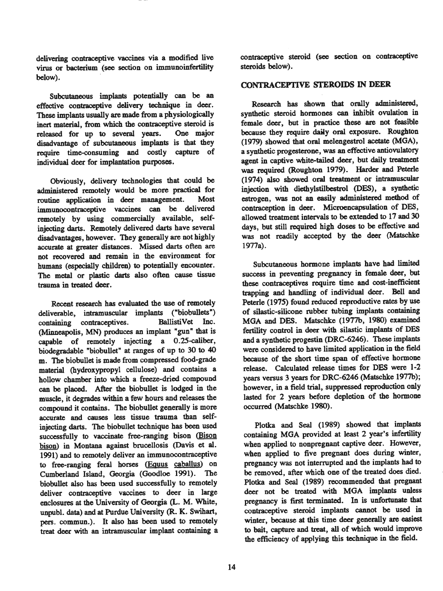delivering contraceptive vaccines via a modified live virus or bacterium (see section on immunoinfertility below).

Subcutaneous implants potentially can **be an**  effective contraceptive delivery technique in deer. These implants usually are made from a physiologically inert material, from which the contraceptive steroid is released for up to several years. One major disadvantage of subcutaneous implants is that they require time-consuming and costly capture of individual deer for implantation purposes.

Obviously, delivery technologies that could be administered remotely would be more practical for routine application in **deer management.** Most immunocontraceptive vaccines can be delivered remotely by using commercially available, selfinjecting darts. Remotely delivered darts have several disadvantages, however. They generally are not highly accurate at greater distances. Missed darts often are not recovered and remain in the environment for humans (especially children) to potentially encounter. The metal or plastic darts also often cause tissue trauma in treated deer.

Recent research has evaluated the use of remotely deliverable, intramuscular implants ("biobullets") containing contraceptives. BallistiVet Inc. (Minneapolis, MN) produces an implant "gun" that is capable of remotely injecting a 0.25-caliber, biodegradable "biobullet" at ranges of up to 30 to 40 m. The biobullet is made from compressed food-grade material (hydroxypropyl cellulose) and contains a hollow chamber into which a freeze-dried compound can be placed. After the biobullet is lodged in the muscle, it degrades within a few hours and releases the compound it contains. The biobullet generally is more accurate and causes less tissue trauma than selfinjecting darts. The biobullet technique bas been used successfully to vaccinate free-ranging bison (Bison bison) in Montana against brucellosis (Davis et al. 1991) and to remotely deliver an immunocontraceptive to free-ranging feral horses (Equus caballus) on Cumberland Island, Georgia (Goodloe 1991). The biobullet also has been used successfully to remotely deliver contraceptive vaccines to deer in large enclosures at the University of Georgia (L. M. White, unpubl. data) and at Purdue University (R. K. Swihart, pers. commun.). It also bas been used to remotely treat deer with an intramuscular implant containing a contraceptive steroid (see section on contraceptive steroids below).

### CONTRACEPTIVE **STEROIDS** IN **DEER**

Research bas shown that orally administered, synthetic steroid hormones can inhibit ovulation in female deer, but in practice these are not feasible because they require daily oral exposure. Roughton (1979) showed that oral melengestrol acetate (MGA), a synthetic progesterone, was an effective antiovulatory agent in captive white-tailed deer, but daily treatment was required (Roughton 1979). Harder and Peterle (1974) also showed oral treatment or intramuscular injection with diethylstilbestrol (DES), a synthetic estrogen, was not an easily administered method of contraception in deer. Microencapsulation of DES, allowed treatment intervals to be extended to 17 and 30 days, but still required high doses to be effective and was not readily accepted by the deer (Matschke 1977a).

Subcutaneous hormone implants have had limited success in preventing pregnancy in female deer, but these contraceptives require time and cost-inefficient **trapping** and handling of individual deer. Bell and Peterle (1975) found reduced reproductive rates by use of silastic-silicone rubber tubing implants containing MGA and DES. Matschke (1977b, 1980) examined fertility control in deer with silastic implants of DES and a synthetic progestin (DRC-6246). These implants were considered to have limited application in the field because of the short time span of effective hormone release. Calculated release times for DES were 1-2 years versus 3 years for DRC-6246 (Matschke 1977b); however, in a field trial, suppressed reproduction only lasted for 2 years before depletion of the hormone occurred (Matschke 1980).

Plotka and Seal (1989) showed that implants containing MGA provided at least 2 year's infertility when applied to nonpregnant captive deer. However, when applied to five pregnant does during **winter,**  pregnancy was not interrupted and the implants had to be removed, after which one of the treated does died. Plotka and Seal (1989) recommended that pregnant deer not be treated with MGA implants unless pregnancy is first terminated. In is unfortunate that contraceptive steroid implants cannot be used in winter, because at this time deer generally are easiest to bait, capture and treat, all of which would improve the efficiency of applying this technique in the field.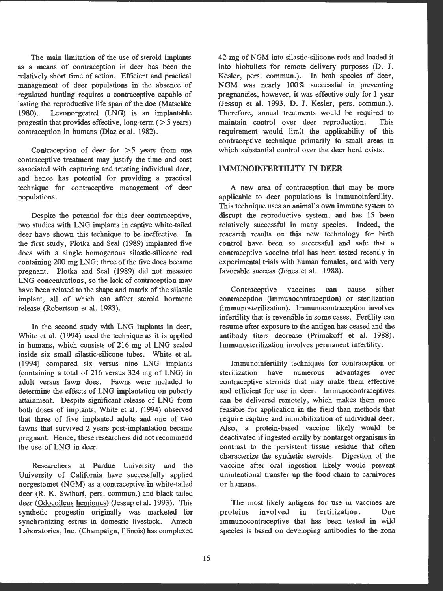The main limitation of the use of steroid implants as a means of contraception in deer has been the relatively short time of action. Efficient and practical management of deer populations in the absence of regulated hunting requires a contraceptive capable of lasting the reproductive life span of the doe (Matschke 1980). Levonorgestrel (LNG) is an implantable progestin that provides effective, long-term  $($  >  $5$  years) contraception in humans (Diaz et al. 1982).

Contraception of deer for > *5* years from one contraceptive treatment may justify the time and cost associated with capturing and treating individual deer, and hence has potential for providing a practical technique for contraceptive management of deer populations .

Despite the potential for this deer contraceptive, two studies with LNG implants in captive white-tailed deer have shown this technique to be ineffective. In the first study, Plotka and Seal (1989) implanted five does with a single homogenous silastic-silicone rod containing 200 mg LNG; three of the five does became pregnant. Plotka and Seal (1989) did not measure LNG concentrations, so the lack of contraception may have been related to the shape and matrix of the silastic implant, all of which can affect steroid hormone release (Robertson et al. 1983).

In the second study with LNG implants in deer, White et al. (1994) used the technique as it is applied in humans, which consists of 216 mg of LNG sealed inside six small silastic-silicone tubes. White et al. (1994) compared six versus nine LNG implants (containing a total of 216 versus 324 mg of LNG) in adult versus fawn does. Fawns were included to determine the effects of LNG implantation on puberty attainment. Despite significant release of LNG from both doses of implants, White et al. (1994) observed that three of five implanted adults and one of two fawns that survived 2 years post-implantation became pregnant. Hence, these researchers did not recommend the use of LNG in deer.

Researchers at Purdue University and the University of California have successfully applied norgestomet **(NGM)** as a contraceptive in white-tailed deer (R. K. Swihart, pers. commun.) and black-tailed deer (Odocoileus hemionus) (Jessup et al. 1993). This synthetic progestin originally was marketed for synchronizing estrus in domestic livestock. Antech Laboratories, Inc. (Champaign, Illinois) has complexed

42 mg of NGM into silastic-silicone rods and loaded it into biobullets for remote delivery purposes (D. **J.**  Kesler, pers. commun.). In both species of deer, NGM was nearly 100% successful in preventing pregnancies, however, it was effective only for **1** year (Jessup et al. 1993, D. J. Kesler , pers. commun.). Therefore, annual treatments would be required to maintain control over deer reproduction. This requirement would lim:t the applicability of this contraceptive technique primarily to small areas in which substantial control over the deer herd exists.

#### **IMMUNOINFERTILITY** IN **DEER**

A new area of contraception that may be more applicable to deer populations is immunoinfertility. This technique uses an animal's own immune system to disrupt the reproductive system, and has 15 been relatively successful in many species. Indeed, the research results on this new technology for birth control have been so successful and safe that a contraceptive vaccine trial has been tested recently in experimental trials with human females, and with very favorable success (Jones et al. 1988).

Contraceptive vaccines can cause either contraception (immunocontraception) or sterilization (immunosterilization). Immunocontraception involves infertility that is reversible in some cases. Fertility can resume after exposure to the antigen has ceased and the antibody titers decrease (Primakoff et al. **1988).**  Immunosterilization involves permanent infertility.

Immunoinfertility techniques for contraception or<br>
rilization have numerous advantages over sterilization have numerous advantages over contraceptive steroids that may make them effective and efficient for use in deer. Immunocontraceptives can be delivered remotely, which makes them more feasible for application in the field than methods that require capture and immobilization of individual deer. Also, a protein-based vaccine likely would be deactivated if ingested orally by nontarget organisms in contrast to the persistent tissue residue that often characterize the synthetic steroids. Digestion of the vaccine after oral ingestion likely would prevent unintentional transfer up the food chain to carnivores or humans.

The most likely antigens for use in vaccines are proteins involved in fertilization. One immunocontraceptive that has been tested in wild species is based on developing antibodies to the zona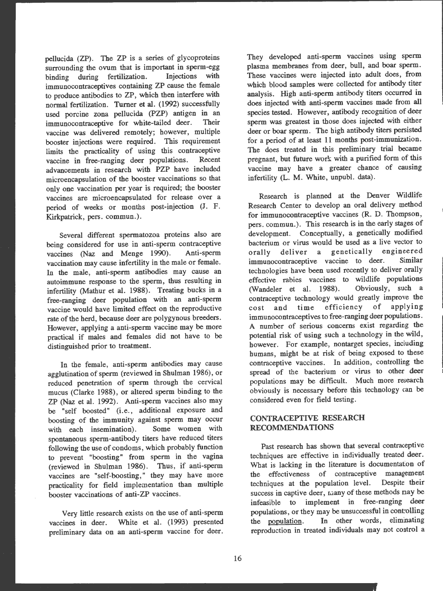pellucida (ZP). The ZP is a series of glycoproteins surrounding the ovum that is important in sperm-egg<br>binding during fertilization. Injections with binding during fertilization. immunocontraceptives containing ZP cause the female to produce antibodies to ZP, which then interfere with normal fertilization. Turner et al. (1992) successfully used porcine zona pellucida (PZP) antigen in an immunocontraceptive for white-tailed deer. Their vaccine was delivered remotely; however, multiple booster injections were required. This requirement limits the practicality of using this contraceptive<br>vaccine in free-ranging deer populations. Recent vaccine in free-ranging deer populations. advancements in research with PZP have included microencapsulation of the booster vaccinations so that only one vaccination per year is required; the booster vaccines are microencapsulated for release over a period of weeks or months post-injection (J. F. Kirkpatrick, pers. commun.).

Several different spermatozoa proteins also are being considered for use in anti-sperm contraceptive<br>vaccines (Naz and Menge 1990). Anti-sperm vaccines (Naz and Menge 1990). vaccination may cause infertility in the male or female. In the male, anti-sperm antibodies may cause an autoimmune response to the sperm, thus resulting in infertility (Mathur et al. 1988). Treating bucks in a free-ranging deer population with an anti-sperm vaccine would have limited effect on the reproductive rate of the herd, because deer are polygynous breeders. However, applying a anti-sperm vaccine may be more practical if males and females did not have to be distinguished prior to treatment.

In the female, anti-sperm antibodies may cause agglutination of sperm (reviewed in Shulman 1986), or reduced penetration of sperm through the cervical mucus (Clarke 1988), or altered sperm binding to the ZP (Naz et al. 1992). Anti-sperm vaccines also may be "self boosted" (i.e., additional exposure and boosting of the immunity against sperm may occur<br>with each insemination). Some women with with each insemination). spontaneous sperm-antibody titers have reduced titers following the use of condoms, which probably function to prevent "boosting" from sperm in the vagina (reviewed in Shulman 1986). Thus, if anti-sperm vaccines are "self-boosting," they may have more practicality for field implementation than multiple booster vaccinations of anti-ZP vaccines.

Very little research exists on the use of anti-sperm vaccines in deer. White et al. (1993) presented preliminary data on an anti-sperm vaccine for deer.

They developed anti-sperm vaccines using sperm <sup>p</sup>lasma membranes from deer, bull, and boar sperm. These vaccines were injected into adult does, from which blood samples were collected for antibody titer analysis. High anti-sperm antibody titers occurred in does injected with anti-sperm vaccines made from all species tested. However, antibody recognition of deer sperm was greatest in those does injected with either deer or boar sperm. The high antibody titers persisted for a period of at least 11 months post-immunization. The does treated in this preliminary trial became pregnant, but future work with a purified form of this vaccine may have a greater chance of causing infertility (L. M. White, unpubl. data).

Research is planned at the Denver Wildlife Research Center to develop an oral delivery method for immunocontraceptive vaccines (R. D. Thompson, pers. commun.). This research is in the early stages of development. Conceptually, a genetically modified bacterium or virus would be used as a live vector to orally deliver a genetically engineered immunocontraceptive vaccine to deer. Similar technologies have been used recently to deliver orally effective rabies vaccines to wildlife populations (Wandeler et al. 1988). Obviously, such a contraceptive technology would greatly improve the cost and time efficiency of applying immunocontraceptives to free-ranging deer populations. A number of serious concerns exist regarding the potential risk of using such a technology in the wild, however. For example, nontarget species, including humans, might be at risk of being exposed to these contraceptive vaccines. In addition, controlling the spread of the bacterium or virus to other deer populations may be difficult. Much more research obviously is necessary before this technology can be considered even for field testing.

## **CONTRACEPTIVE RESEARCH RECOMMENDATIONS**

Past research has shown that several contraceptive techniques are effective in individually treated deer. What is lacking in the literature is documentation of the effectiveness of contraceptive management techniques at the population level. Despite their success in captive deer, many of these methods nay be infeasible to implement in free-ranging deer populations, or they may be unsuccessful in controlling the population. In other words, eliminating reproduction in treated individuals may not control a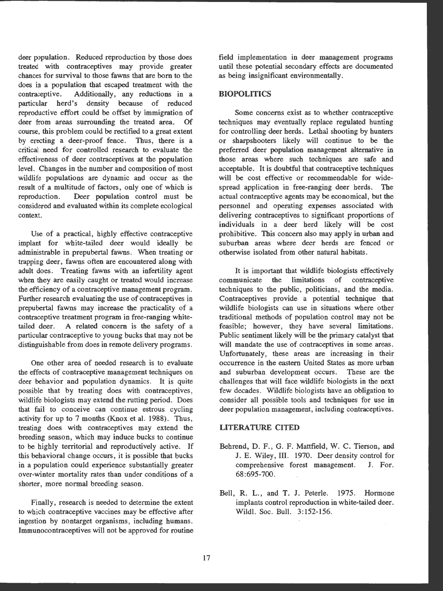deer population. Reduced reproduction by those does treated with contraceptives may provide greater chances for survival to those fawns that are born to the does in a population that escaped treatment with the contraceptive. Additionally, any reductions in a particular herd's density because of reduced density because of reduced reproductive effort could be offset by immigration of deer from areas surrounding the treated area. Of course, this problem could be rectified to a great extent by erecting a deer-proof fence. Thus, there is a critical need for controlled research to evaluate the effectiveness of deer contraceptives at the population level. Changes in the number and composition of most wildlife populations are dynamic and occur as the result of a multitude of factors, only one of which is<br>reproduction. Deer population control must be Deer population control must be considered and evaluated within its complete ecological context.

Use of a practical, highly effective contraceptive implant for white-tailed deer would ideally be administrable in prepubertal fawns. When treating or trapping deer, fawns often are encountered along with adult does. Treating fawns with an infertility agent when they are easily caught or treated would increase the efficiency of a contraceptive management program. Further research evaluating the use of contraceptives in prepubertal fawns may increase the practicality of a contraceptive treatment program in free-ranging whitetailed deer. A related concern is the safety of a particular contraceptive to young bucks that may not be distinguishable from does in remote delivery programs.

One other area of needed research is to evaluate the effects of contraceptive management techniques on deer behavior and population dynamics. It is quite possible that by treating does with contraceptives, wildlife biologists may extend the rutting period. Does that fail to conceive can continue estrous cycling activity for up to 7 months (Knox et al. 1988). Thus, treating does with contraceptives may extend the breeding season, which may induce bucks to continue to be highly territorial and reproductively active. If this behavioral change occurs, it is possible that bucks in a population could experience substantially greater over-winter mortality rates than under conditions of a shorter, more normal breeding season.

Finally, research is needed to determine the extent to which contraceptive vaccines may be effective after ingestion by nontarget organisms, including humans. Immunocontraceptives will not be approved for routine field implementation in deer management programs until these potential secondary effects are documented as being insignificant environmentally.

## **BIOPOLITICS**

Some concerns exist as to whether contraceptive techniques may eventually replace regulated hunting for controlling deer herds. Lethal shooting by hunters or sharpshooters likely will continue to be the preferred deer population management alternative in those areas where such techniques are safe and acceptable. It is doubtful that contraceptive techniques will be cost effective or recommendable for widespread application in free-ranging deer herds. The actual contraceptive agents may be economical, but the personnel and operating expenses associated with delivering contraceptives to significant proportions of individuals in a deer herd likely will be cost prohibitive. This concern also may apply in urban and suburban areas where deer herds are fenced or otherwise isolated from other natural habitats.

It is important that wildlife biologists effectively communicate the limitations of contraceptive techniques to the public, politicians, and the media. Contraceptives provide a potential technique that wildlife biologists can use in situations where other traditional methods of population control may not be feasible; however, they have several limitations. Public sentiment likely will be the primary catalyst that will mandate the use of contraceptives in some areas. Unfortunately, these areas are increasing in their occurrence in the eastern United States as more urban and suburban development occurs. These are the challenges that will face wildlife biologists in the next few decades. Wildlife biologists have an obligation to consider all possible tools and techniques for use in deer population management, including contraceptives.

#### **LITERATURE CITED**

- Behrend, D. F., G. F. Mattfield, W. C. Tierson, and **J.** E. Wiley, III. 1970. Deer density control for comprehensive forest management. **J.** For. 68:695-700.
- Bell, R. L., and T. J. Peterle. 1975. Hormone implants control reproduction in white-tailed deer. Wildl. Soc. Bull. 3:152-156.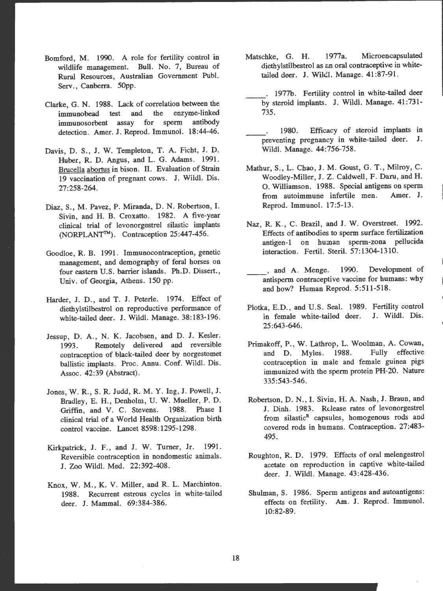- Bomford, M. 1990. A role for fertility control in wildlife management. Bull. No. 7, Bureau of Rural Resources, Australian Government Puhl. Serv., Canberra. 50pp.
- Clarke, G. N. 1988. Lack of correlation between the immunobead test and the enzyme-linked immunosorbent assay for sperm antibody detection. Amer. J. Reprod. Immunol. 18:44-46.
- Davis, D. S., J. W. Templeton, T. A. Ficht, J. D. Huber, R. D. Angus, and L. G. Adams. 1991. Brucella abortus in bison. II. Evaluation of Strain 19 vaccination of pregnant cows. J. Wildl. Dis. 27:258-264 .
- Diaz, S., M. Pavez, P. Miranda, D. N. Robertson, I. Sivin, and H. B. Croxatto. 1982. A five-year clinical trial of levonorgestrel silastic implants (NORPLANT'™). Contraception 25:447-456.
- Goodloe, R. B. 1991. Immunocontraception, genetic management, and demography of feral horses on four eastern U.S. barrier islands. Ph.D. Dissert., Univ. of Georgia, Athens. 150 pp.
- Harder, J. D., and T. J. Peterle. 1974. Effect of diethylstilbestrol on reproductive performance of white-tailed deer. J. Wildl. Manage. 38:183-196.
- Jessup, D. A., N. K. Jacobsen, and D. J. Kesler. 1993. Remotely delivered and reversible contraception of black-tailed deer by norgestomet ballistic implants. Proc. Annu. Conf. Wildl. Dis. Assoc. 42:39 (Abstract).
- Jones, W. R., S. R. Judd, R. M. Y. Ing, J. Powell, J. Bradley, E. H., Denholm, U. W. Mueller, P. D. Griffin, and V. C. Stevens. 1988. Phase I clinical trial of a World Health Organization birth control vaccine. Lancet 8598: 1295-1298.
- Kirkpatrick, J. F., and J. W. Turner, Jr. 1991. Reversible contraception in nondomestic animals. J. Zoo Wildl. Med. 22:392-408 .
- Knox, W. M., K. V. Miller, and R. L. Marchinton. 1988. Recurrent estrous cycles in white-tailed deer. **J.** Mammal. 69:384-386 .
- Matschke, G. H. 1977a. Microen capsulated diethylstilbestrol as an oral contraceptive in whitetailed deer. J. Wilcl. Manage. 41:87-91.
	- . 1977b. Fertility control in white-tailed deer by steroid implants. J. Wild!. Manage. 41:731 - 735.
	- 1980. Efficacy of steroid implants in preventing pregnancy in white-tailed deer. J. Wildl. Manage. 44:756-758.
- Mathur, S., L. Chao, J. M. Goust, G. T., Milroy, C. Woodley-Miller, J. Z. Caldwell, F. Daru, and H. 0. Williamson. 1988. Special antigens on sperm from autoimmune infertile men. Amer. J. Reprod. Immunol. 17:5-13.
- Naz, R. K., C. Brazil, and J. W. Overstreet. 1992. Effects of antibodies to sperm surface fertilization antigen-1 on human sperm-zona pellucida interaction. Fertil. Steril. 57:1304-1310.
	- , and A. Menge. 1990. Development of antisperm contraceptive vaccine for humans: why and how? Human Reprod. 5:511-518.
- Plotka, E.D., and U.S. Seal. 1989. Fertility control in female white-tailed deer. J. Wildl. Dis. 25:643-646.
- Primakoff, P., W. Lathrop, L. Woolman, A. Cowan, and D. Myles. 1988. Fully effective contraception in male and female guinea pigs immunized with the sperm protein PH-20 . Nature 335:543-546 .
- Robertson , D. N., I. Sivin, **H. A.** Nash, J. Braun, and J. Dinh. 1983. Release rates of levonorgestrel from silastic<sup>R</sup> capsules, homogenous rods and covered rods in humans. Contraception. 27:483-495.
- Roughton, R. D. 1979. Effects of oral melengestrol acetate on reproduction in captive white-tailed deer. J. Wildl. Manage. 43:428-436.
- Shulman, S. 1986. Sperm antigens and autoantigens: effects on fertility. Am. J. Reprod. Immunol. 10:82-89 .